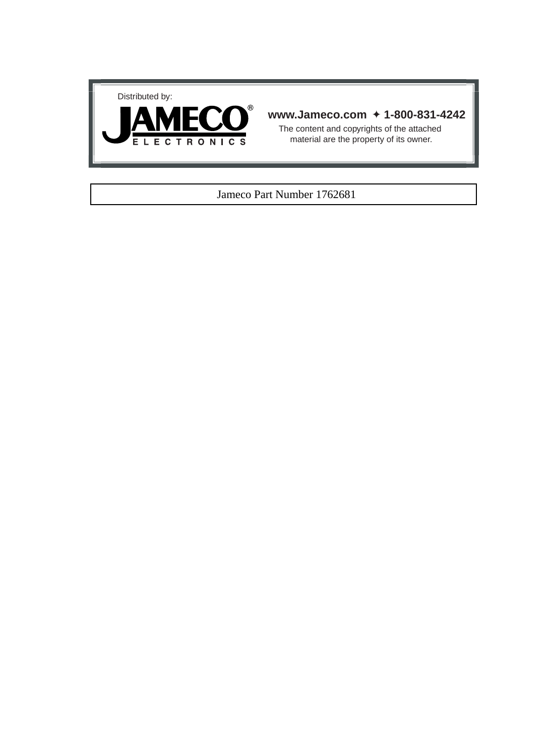



#### **www.Jameco.com** ✦ **1-800-831-4242**

The content and copyrights of the attached material are the property of its owner.

#### Jameco Part Number 1762681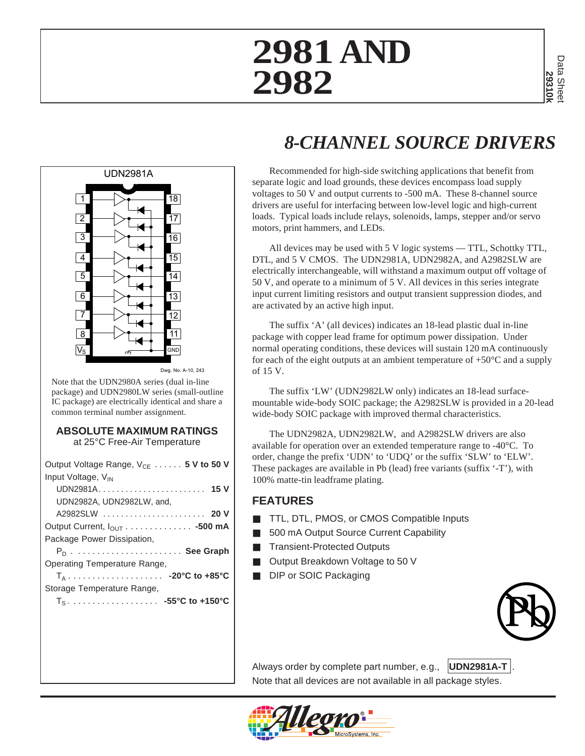

2 ng. no. a <sub>1</sub> 243

Note that the UDN2980A series (dual in-line package) and UDN2980LW series (small-outline IC package) are electrically identical and share a common terminal number assignment.

#### **ABSOLUTE MAXIMUM RATINGS** at 25°C Free-Air Temperature

| Output Voltage Range, $V_{CF}$ 5 V to 50 V |
|--------------------------------------------|
| Input Voltage, V <sub>IN</sub>             |
| UDN2981A 15 V                              |
| UDN2982A, UDN2982LW, and,                  |
| A2982SLW  20 V                             |
|                                            |
| Package Power Dissipation,                 |
| $P_n$ See Graph                            |
| Operating Temperature Range,               |
| $T_A$ -20°C to +85°C                       |
| Storage Temperature Range,                 |
|                                            |
|                                            |
|                                            |

# *8-CHANNEL SOURCE DRIVERS*

Recommended for high-side switching applications that benefit from separate logic and load grounds, these devices encompass load supply voltages to 50 V and output currents to -500 mA. These 8-channel source drivers are useful for interfacing between low-level logic and high-current loads. Typical loads include relays, solenoids, lamps, stepper and/or servo motors, print hammers, and LEDs.

All devices may be used with 5 V logic systems — TTL, Schottky TTL, DTL, and 5 V CMOS. The UDN2981A, UDN2982A, and A2982SLW are electrically interchangeable, will withstand a maximum output off voltage of 50 V, and operate to a minimum of 5 V. All devices in this series integrate input current limiting resistors and output transient suppression diodes, and are activated by an active high input.

The suffix 'A' (all devices) indicates an 18-lead plastic dual in-line package with copper lead frame for optimum power dissipation. Under normal operating conditions, these devices will sustain 120 mA continuously for each of the eight outputs at an ambient temperature of  $+50^{\circ}$ C and a supply of 15 V.

The suffix 'LW' (UDN2982LW only) indicates an 18-lead surfacemountable wide-body SOIC package; the A2982SLW is provided in a 20-lead wide-body SOIC package with improved thermal characteristics.

The UDN2982A, UDN2982LW, and A2982SLW drivers are also available for operation over an extended temperature range to -40°C. To order, change the prefix 'UDN' to 'UDQ' or the suffix 'SLW' to 'ELW'. These packages are available in Pb (lead) free variants (suffix '-T'), with 100% matte-tin leadframe plating.

### **FEATURES**

- TTL, DTL, PMOS, or CMOS Compatible Inputs
- 500 mA Output Source Current Capability
- **Transient-Protected Outputs**
- Output Breakdown Voltage to 50 V
- DIP or SOIC Packaging



Always order by complete part number, e.g., **UDN2981A-T** Note that all devices are not available in all package styles.

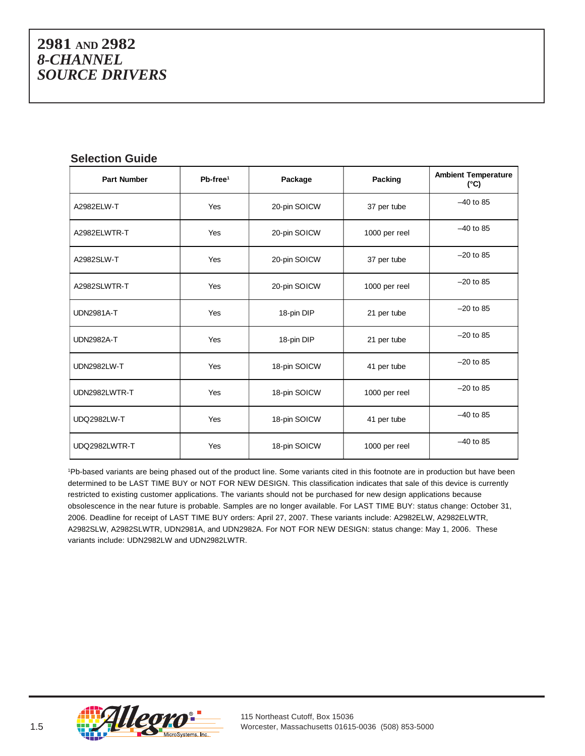#### **Selection Guide**

| <b>Part Number</b> | $Pb-free1$ | Package      | Packing       | <b>Ambient Temperature</b><br>(°C) |  |
|--------------------|------------|--------------|---------------|------------------------------------|--|
| A2982ELW-T         | Yes        | 20-pin SOICW | 37 per tube   | $-40$ to 85                        |  |
| A2982ELWTR-T       | Yes        | 20-pin SOICW | 1000 per reel | $-40$ to 85                        |  |
| A2982SLW-T         | Yes        | 20-pin SOICW | 37 per tube   | $-20$ to 85                        |  |
| A2982SLWTR-T       | Yes        | 20-pin SOICW | 1000 per reel | $-20$ to 85                        |  |
| <b>UDN2981A-T</b>  | <b>Yes</b> | 18-pin DIP   | 21 per tube   | $-20$ to 85                        |  |
| <b>UDN2982A-T</b>  | Yes        | 18-pin DIP   | 21 per tube   | $-20$ to 85                        |  |
| <b>UDN2982LW-T</b> | Yes        | 18-pin SOICW | 41 per tube   | $-20$ to 85                        |  |
| UDN2982LWTR-T      | Yes        | 18-pin SOICW | 1000 per reel | $-20$ to 85                        |  |
| <b>UDQ2982LW-T</b> | Yes        | 18-pin SOICW | 41 per tube   | $-40$ to 85                        |  |
| UDQ2982LWTR-T      | Yes        | 18-pin SOICW | 1000 per reel | $-40$ to 85                        |  |

1 Pb-based variants are being phased out of the product line. Some variants cited in this footnote are in production but have been determined to be LAST TIME BUY or NOT FOR NEW DESIGN. This classification indicates that sale of this device is currently restricted to existing customer applications. The variants should not be purchased for new design applications because obsolescence in the near future is probable. Samples are no longer available. For LAST TIME BUY: status change: October 31, 2006. Deadline for receipt of LAST TIME BUY orders: April 27, 2007. These variants include: A2982ELW, A2982ELWTR, A2982SLW, A2982SLWTR, UDN2981A, and UDN2982A. For NOT FOR NEW DESIGN: status change: May 1, 2006. These variants include: UDN2982LW and UDN2982LWTR.

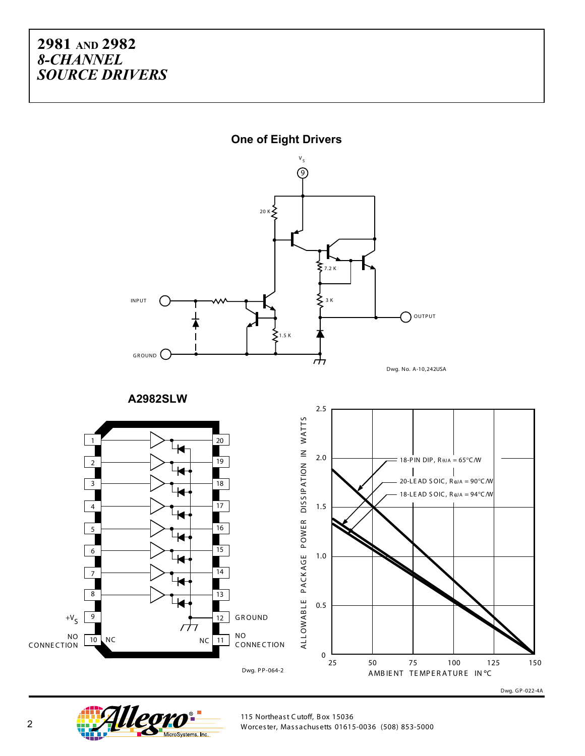

**One of Eight Drivers**

2 Worcester, Massachusetts 01615-0036 (508) 853-5000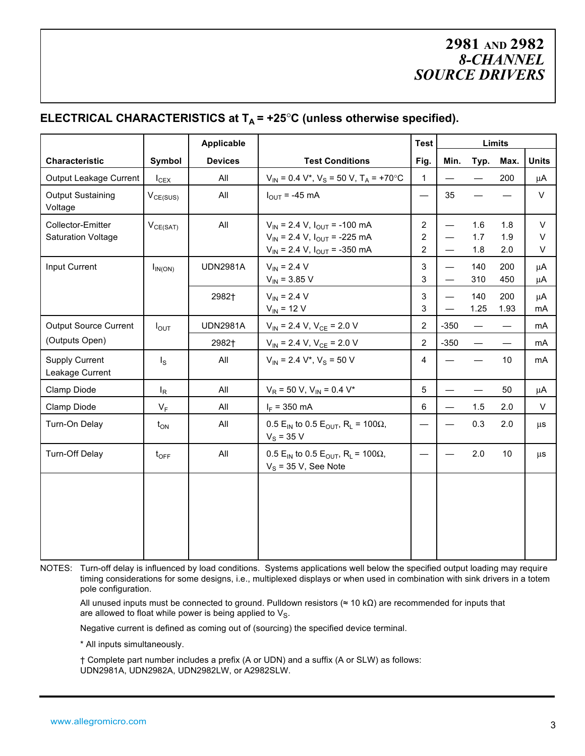#### **ELECTRICAL CHARACTERISTICS at**  $T_A$  **= +25°C (unless otherwise specified).**

|                                                |                  | Applicable      |                                                                                                                         | <b>Test</b>                                      | Limits                               |                          |                   |                  |
|------------------------------------------------|------------------|-----------------|-------------------------------------------------------------------------------------------------------------------------|--------------------------------------------------|--------------------------------------|--------------------------|-------------------|------------------|
| Characteristic                                 | Symbol           | <b>Devices</b>  | <b>Test Conditions</b>                                                                                                  | Fig.                                             | Min.                                 | Typ.                     | Max.              | <b>Units</b>     |
| Output Leakage Current                         | $I_{CEX}$        | All             | $V_{IN}$ = 0.4 V <sup>*</sup> , V <sub>S</sub> = 50 V, T <sub>A</sub> = +70°C                                           | $\mathbf{1}$                                     |                                      |                          | 200               | μA               |
| <b>Output Sustaining</b><br>Voltage            | $V_{CE(SUS)}$    | All             | $I_{\text{OUT}}$ = -45 mA                                                                                               |                                                  | 35                                   |                          |                   | V                |
| Collector-Emitter<br><b>Saturation Voltage</b> | $V_{CE(SAT)}$    | All             | $V_{IN}$ = 2.4 V, $I_{OUT}$ = -100 mA<br>$V_{IN}$ = 2.4 V, $I_{OUT}$ = -225 mA<br>$V_{IN}$ = 2.4 V, $I_{OUT}$ = -350 mA | $\mathbf{2}$<br>$\overline{2}$<br>$\overline{2}$ |                                      | 1.6<br>1.7<br>1.8        | 1.8<br>1.9<br>2.0 | $\vee$<br>V<br>V |
| Input Current                                  | $I_{IN(ON)}$     | <b>UDN2981A</b> | $V_{IN}$ = 2.4 V<br>$V_{IN}$ = 3.85 V                                                                                   | 3<br>3                                           | $\qquad \qquad -$<br>$\qquad \qquad$ | 140<br>310               | 200<br>450        | μA<br>μA         |
|                                                |                  | 2982†           | $V_{IN}$ = 2.4 V<br>$V_{IN}$ = 12 V                                                                                     | 3<br>3                                           |                                      | 140<br>1.25              | 200<br>1.93       | $\mu$ A<br>mA    |
| <b>Output Source Current</b>                   | $I_{OUT}$        | <b>UDN2981A</b> | $V_{IN}$ = 2.4 V, $V_{CE}$ = 2.0 V                                                                                      | $\overline{2}$                                   | $-350$                               | $\overline{\phantom{0}}$ |                   | mA               |
| (Outputs Open)                                 |                  | 2982†           | $V_{IN}$ = 2.4 V, $V_{CE}$ = 2.0 V                                                                                      | $\overline{2}$                                   | $-350$                               | $\qquad \qquad$          |                   | mA               |
| <b>Supply Current</b><br>Leakage Current       | $I_{\rm S}$      | All             | $V_{\text{IN}}$ = 2.4 V <sup>*</sup> , V <sub>S</sub> = 50 V                                                            | $\overline{4}$                                   |                                      |                          | 10                | mA               |
| Clamp Diode                                    | $I_R$            | All             | $V_R$ = 50 V, $V_{IN}$ = 0.4 V <sup>*</sup>                                                                             | 5                                                |                                      |                          | 50                | μA               |
| Clamp Diode                                    | $V_F$            | All             | $I_F = 350$ mA                                                                                                          | 6                                                | $\qquad \qquad$                      | 1.5                      | 2.0               | $\vee$           |
| Turn-On Delay                                  | $t_{ON}$         | All             | 0.5 E <sub>IN</sub> to 0.5 E <sub>OUT</sub> , R <sub>L</sub> = 100 $\Omega$ ,<br>$V_S = 35 V$                           |                                                  |                                      | 0.3                      | 2.0               | μs               |
| Turn-Off Delay                                 | $t_{\text{OFF}}$ | All             | 0.5 E <sub>IN</sub> to 0.5 E <sub>OUT</sub> , R <sub>L</sub> = 100 $\Omega$ ,<br>$V_S$ = 35 V, See Note                 |                                                  |                                      | 2.0                      | 10                | μs               |
|                                                |                  |                 |                                                                                                                         |                                                  |                                      |                          |                   |                  |

NOTES: Turn-off delay is influenced by load conditions. Systems applications well below the specified output loading may require timing considerations for some designs, i.e., multiplexed displays or when used in combination with sink drivers in a totem pole configuration.

All unused inputs must be connected to ground. Pulldown resistors (≈ 10 kΩ) are recommended for inputs that are allowed to float while power is being applied to  $V_S$ .

Negative current is defined as coming out of (sourcing) the specified device terminal.

\* All inputs simultaneously.

† Complete part number includes a prefix (A or UDN) and a suffix (A or SLW) as follows: UDN2981A, UDN2982A, UDN2982LW, or A2982SLW.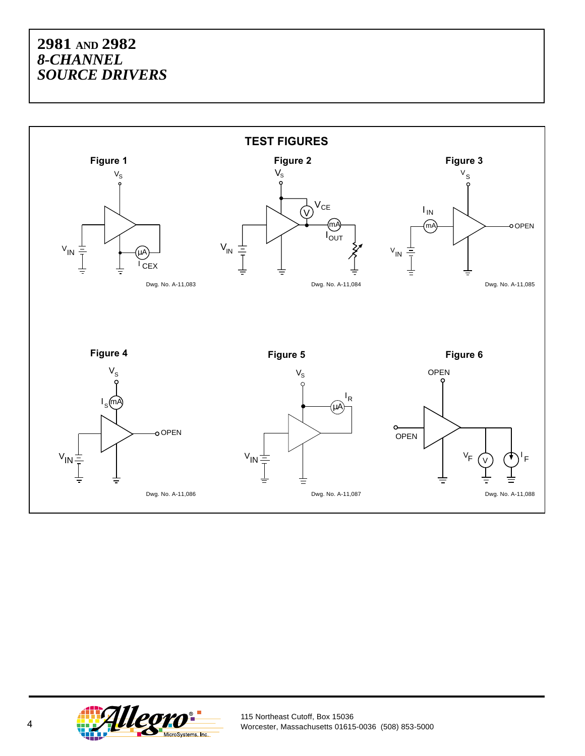

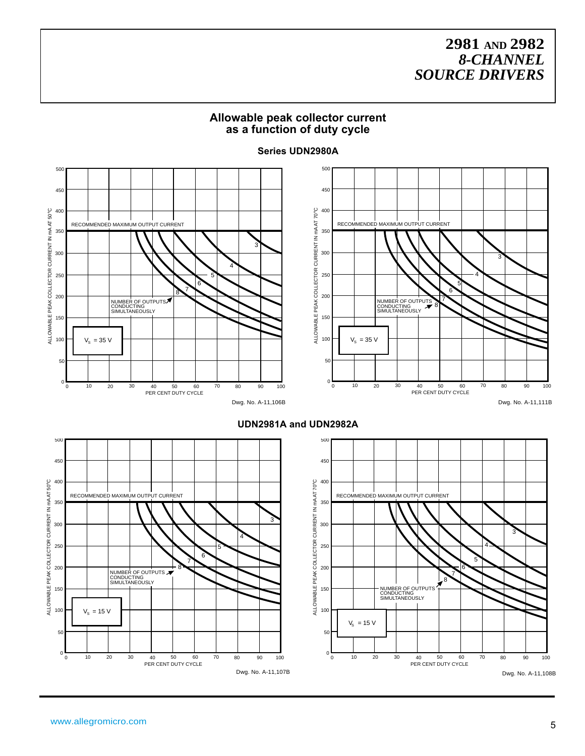#### **Allowable peak collector current as a function of duty cycle**



#### **Series UDN2980A**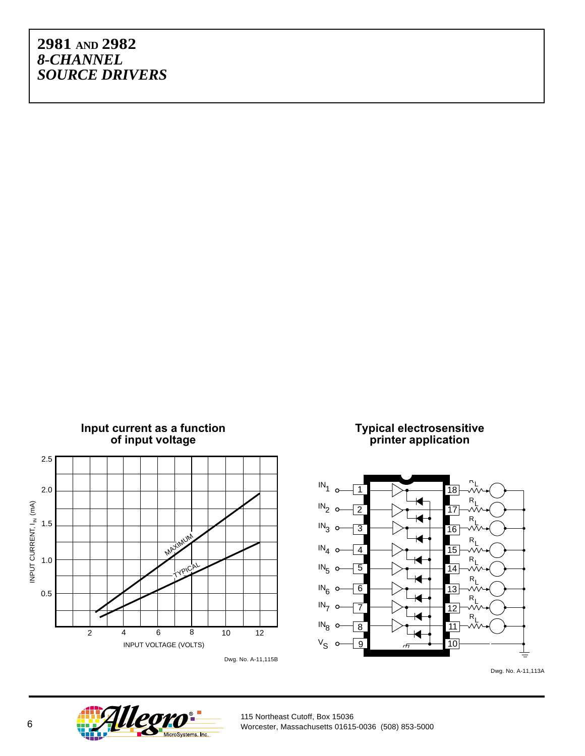

Dwg. No. A-11,113A

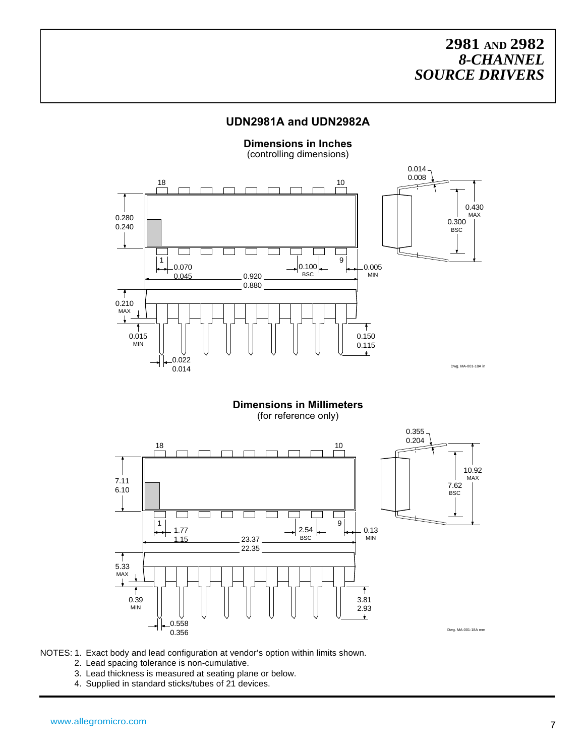#### **UDN2981A and UDN2982A**

**Dimensions in Inches** (controlling dimensions)  $0.014 -$ 0.008  $\frac{18}{1}$  $\frac{10}{1}$ 0.430 MAX 0.280 0.300 0.240 **BSC** Τ 1 9 0.100 0.070 0.005 BSC MIN 0.045 0.920 0.880 ी 0.210  $\frac{MAX}{x}$ Ť 0.015 0.150 MIN 0.115  $\ddot{\phantom{1}}$ 0.022 0.014 Dwg. MA-001-18A in

> **Dimensions in Millimeters** (for reference only)



- NOTES: 1. Exact body and lead configuration at vendor's option within limits shown.
	- 2. Lead spacing tolerance is non-cumulative.
	- 3. Lead thickness is measured at seating plane or below.
	- 4. Supplied in standard sticks/tubes of 21 devices.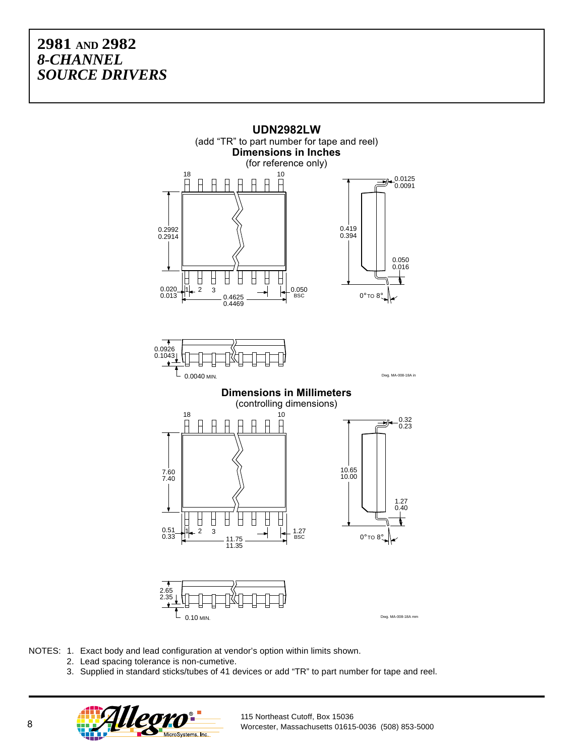

NOTES: 1. Exact body and lead configuration at vendor's option within limits shown.

- 2. Lead spacing tolerance is non-cumetive.
- 3. Supplied in standard sticks/tubes of 41 devices or add "TR" to part number for tape and reel.

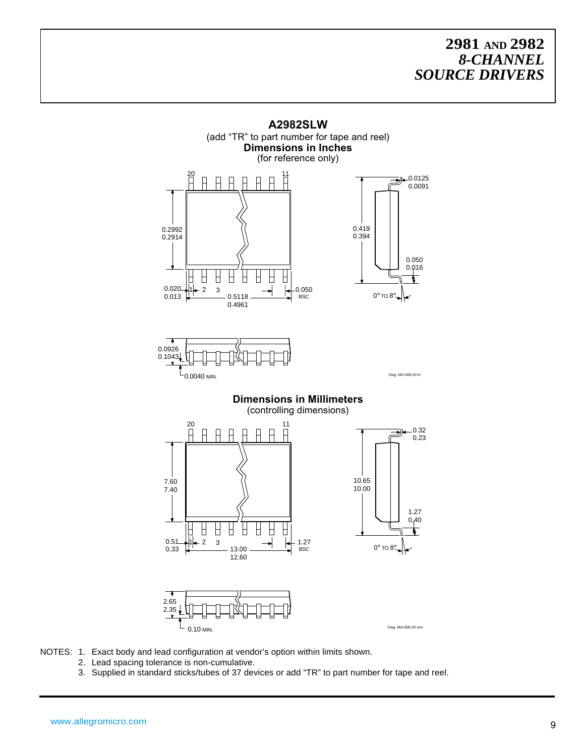

NOTES: 1. Exact body and lead configuration at vendor's option within limits shown.

- 2. Lead spacing tolerance is non-cumulative.
- 3. Supplied in standard sticks/tubes of 37 devices or add "TR" to part number for tape and reel.